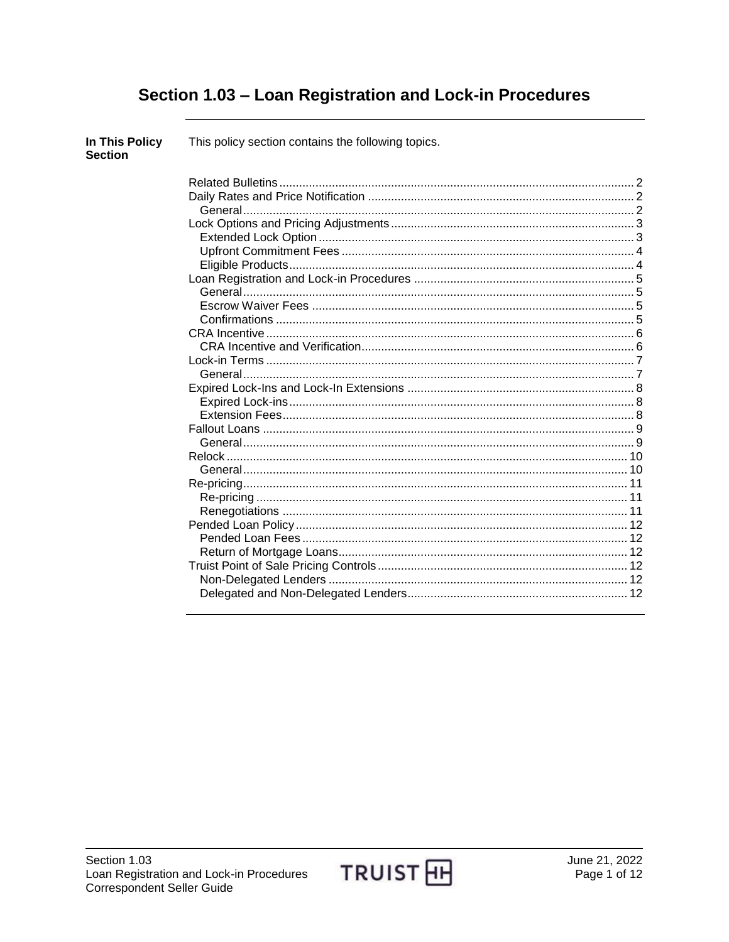# Section 1.03 - Loan Registration and Lock-in Procedures

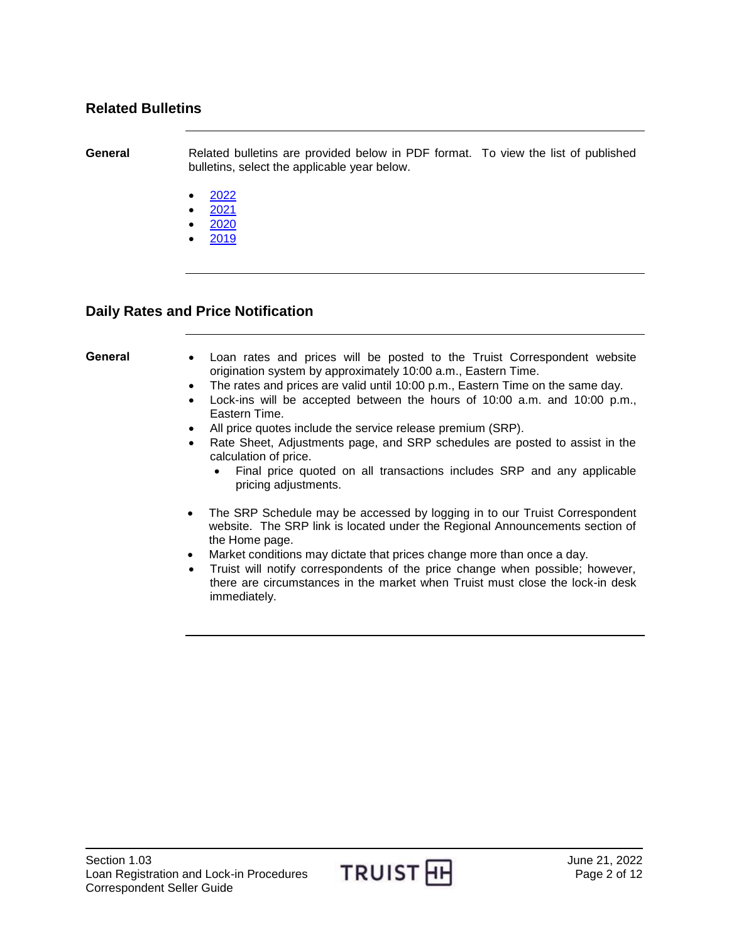## <span id="page-1-0"></span>**Related Bulletins**

**General** Related bulletins are provided below in PDF format. To view the list of published bulletins, select the applicable year below.

- [2022](http://www.truistsellerguide.com/manual/cor/bulletins/Related%20Bulletins/2022/CLoanReg2022.pdf)
- [2021](http://www.truistsellerguide.com/manual/cor/bulletins/Related%20Bulletins/2021/CLoanReg2021.pdf)
- [2020](http://www.truistsellerguide.com/manual/cor/bulletins/Related%20Bulletins/2020/CLoanReg2020.pdf)
- [2019](http://www.truistsellerguide.com/manual/cor/bulletins/Related%20Bulletins/2019/CLoanReg2019.pdf)

## <span id="page-1-1"></span>**Daily Rates and Price Notification**

- <span id="page-1-2"></span>**General** Loan rates and prices will be posted to the Truist Correspondent website origination system by approximately 10:00 a.m., Eastern Time.
	- The rates and prices are valid until 10:00 p.m., Eastern Time on the same day.
	- Lock-ins will be accepted between the hours of 10:00 a.m. and 10:00 p.m., Eastern Time.
	- All price quotes include the service release premium (SRP).
	- Rate Sheet, Adjustments page, and SRP schedules are posted to assist in the calculation of price.
		- Final price quoted on all transactions includes SRP and any applicable pricing adjustments.
	- The SRP Schedule may be accessed by logging in to our Truist Correspondent website. The SRP link is located under the Regional Announcements section of the Home page.
	- Market conditions may dictate that prices change more than once a day.
	- Truist will notify correspondents of the price change when possible; however, there are circumstances in the market when Truist must close the lock-in desk immediately.

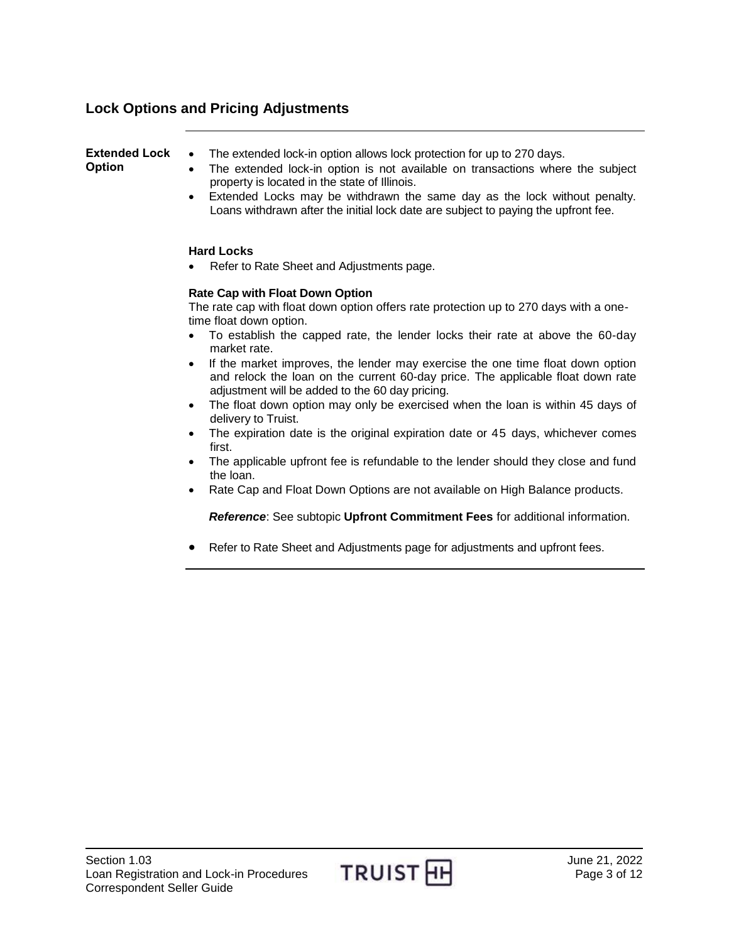# <span id="page-2-0"></span>**Lock Options and Pricing Adjustments**

<span id="page-2-1"></span>

| <b>Extended Lock</b><br><b>Option</b> | The extended lock-in option allows lock protection for up to 270 days.<br>$\bullet$<br>The extended lock-in option is not available on transactions where the subject<br>$\bullet$<br>property is located in the state of Illinois.<br>Extended Locks may be withdrawn the same day as the lock without penalty.<br>٠<br>Loans withdrawn after the initial lock date are subject to paying the upfront fee.                                                |
|---------------------------------------|------------------------------------------------------------------------------------------------------------------------------------------------------------------------------------------------------------------------------------------------------------------------------------------------------------------------------------------------------------------------------------------------------------------------------------------------------------|
|                                       | <b>Hard Locks</b><br>Refer to Rate Sheet and Adjustments page.<br>$\bullet$                                                                                                                                                                                                                                                                                                                                                                                |
|                                       | <b>Rate Cap with Float Down Option</b><br>The rate cap with float down option offers rate protection up to 270 days with a one-<br>time float down option.<br>To establish the capped rate, the lender locks their rate at above the 60-day<br>$\bullet$<br>market rate.<br>If the market improves, the lender may exercise the one time float down option<br>$\bullet$<br>and relock the loan on the current 60-day price. The applicable float down rate |
|                                       | adjustment will be added to the 60 day pricing.<br>The float down option may only be exercised when the loan is within 45 days of<br>$\bullet$<br>delivery to Truist.<br>The expiration date is the original expiration date or 45 days, whichever comes<br>$\bullet$<br>first.                                                                                                                                                                            |
|                                       | The applicable upfront fee is refundable to the lender should they close and fund<br>$\bullet$<br>the loan.<br>Rate Cap and Float Down Options are not available on High Ralance products                                                                                                                                                                                                                                                                  |

Rate Cap and Float Down Options are not available on High Balance products.

*Reference*: See subtopic **Upfront Commitment Fees** for additional information.

Refer to Rate Sheet and Adjustments page for adjustments and upfront fees.

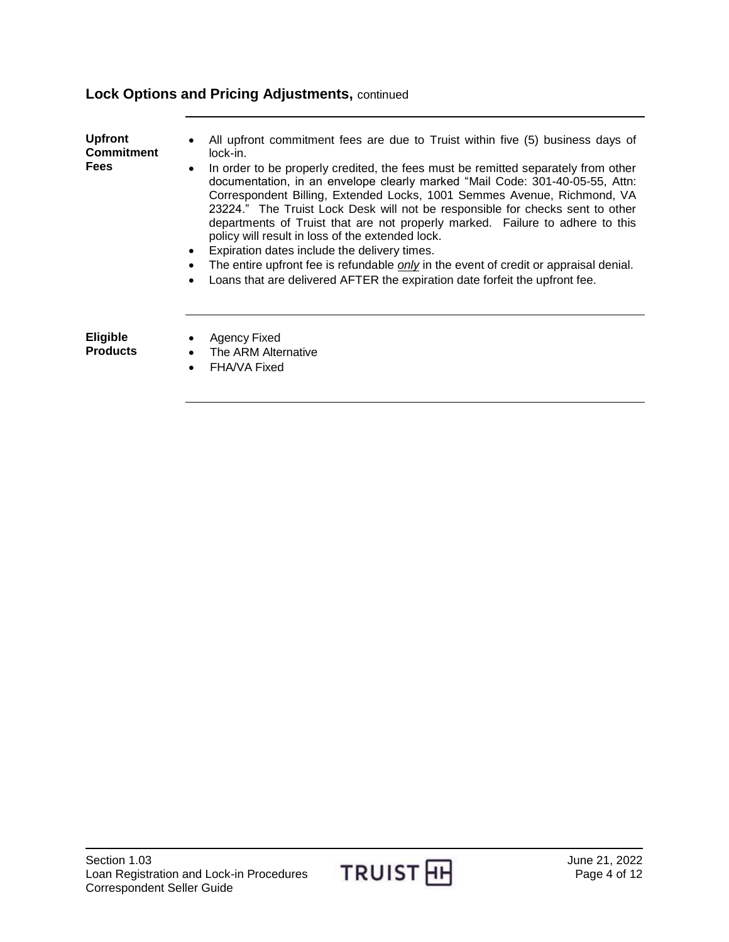# **Lock Options and Pricing Adjustments,** continued

<span id="page-3-1"></span><span id="page-3-0"></span>

| <b>Upfront</b><br><b>Commitment</b><br><b>Fees</b> | All upfront commitment fees are due to Truist within five (5) business days of<br>lock-in.<br>In order to be properly credited, the fees must be remitted separately from other<br>documentation, in an envelope clearly marked "Mail Code: 301-40-05-55, Attn:<br>Correspondent Billing, Extended Locks, 1001 Semmes Avenue, Richmond, VA<br>23224." The Truist Lock Desk will not be responsible for checks sent to other<br>departments of Truist that are not properly marked. Failure to adhere to this<br>policy will result in loss of the extended lock.<br>Expiration dates include the delivery times.<br>The entire upfront fee is refundable only in the event of credit or appraisal denial.<br>Loans that are delivered AFTER the expiration date forfeit the upfront fee.<br>$\bullet$ |
|----------------------------------------------------|-------------------------------------------------------------------------------------------------------------------------------------------------------------------------------------------------------------------------------------------------------------------------------------------------------------------------------------------------------------------------------------------------------------------------------------------------------------------------------------------------------------------------------------------------------------------------------------------------------------------------------------------------------------------------------------------------------------------------------------------------------------------------------------------------------|
| <b>Eligible</b><br><b>Products</b>                 | Agency Fixed<br>The ARM Alternative<br>FHA/VA Fixed<br>$\bullet$                                                                                                                                                                                                                                                                                                                                                                                                                                                                                                                                                                                                                                                                                                                                      |

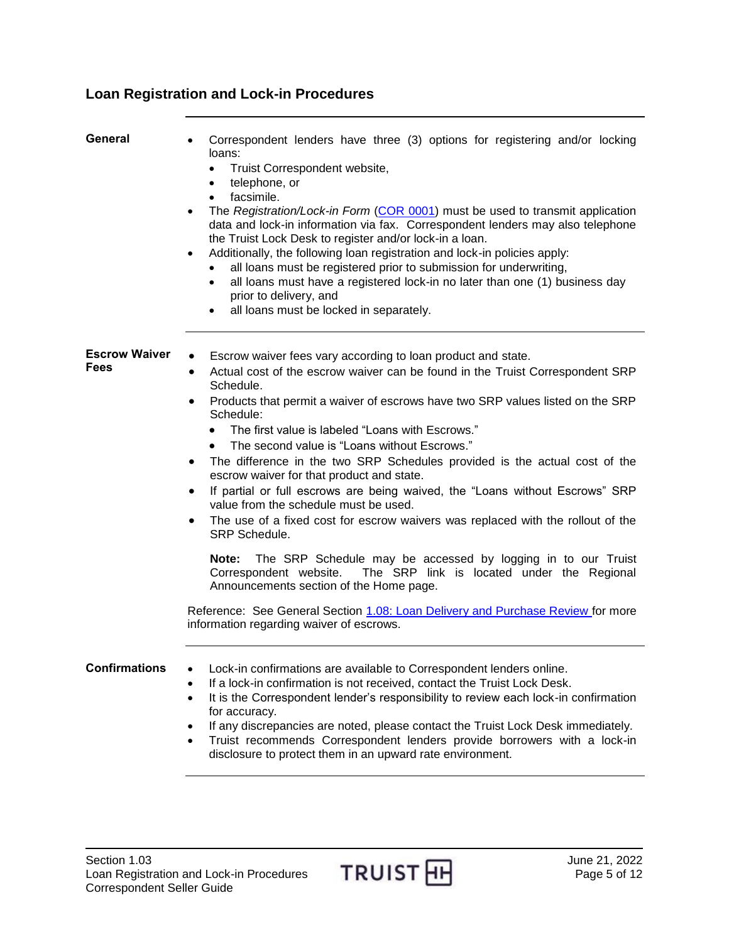# <span id="page-4-0"></span>**Loan Registration and Lock-in Procedures**

<span id="page-4-2"></span><span id="page-4-1"></span>

| General                      | Correspondent lenders have three (3) options for registering and/or locking<br>loans:<br>Truist Correspondent website,<br>$\bullet$<br>telephone, or<br>$\bullet$<br>facsimile.<br>$\bullet$<br>The Registration/Lock-in Form (COR 0001) must be used to transmit application<br>$\bullet$<br>data and lock-in information via fax. Correspondent lenders may also telephone<br>the Truist Lock Desk to register and/or lock-in a loan.<br>Additionally, the following loan registration and lock-in policies apply:<br>$\bullet$<br>all loans must be registered prior to submission for underwriting,<br>all loans must have a registered lock-in no later than one (1) business day<br>$\bullet$<br>prior to delivery, and<br>all loans must be locked in separately.<br>$\bullet$ |
|------------------------------|---------------------------------------------------------------------------------------------------------------------------------------------------------------------------------------------------------------------------------------------------------------------------------------------------------------------------------------------------------------------------------------------------------------------------------------------------------------------------------------------------------------------------------------------------------------------------------------------------------------------------------------------------------------------------------------------------------------------------------------------------------------------------------------|
| <b>Escrow Waiver</b><br>Fees | Escrow waiver fees vary according to loan product and state.<br>٠<br>Actual cost of the escrow waiver can be found in the Truist Correspondent SRP<br>$\bullet$<br>Schedule.<br>Products that permit a waiver of escrows have two SRP values listed on the SRP<br>٠<br>Schedule:<br>The first value is labeled "Loans with Escrows."<br>The second value is "Loans without Escrows."<br>The difference in the two SRP Schedules provided is the actual cost of the<br>$\bullet$<br>escrow waiver for that product and state.<br>If partial or full escrows are being waived, the "Loans without Escrows" SRP<br>٠<br>value from the schedule must be used.<br>The use of a fixed cost for escrow waivers was replaced with the rollout of the<br>٠<br>SRP Schedule.                   |
|                              | Note:<br>The SRP Schedule may be accessed by logging in to our Truist<br>The SRP link is located under the Regional<br>Correspondent website.<br>Announcements section of the Home page.<br>Reference: See General Section 1.08: Loan Delivery and Purchase Review for more<br>information regarding waiver of escrows.                                                                                                                                                                                                                                                                                                                                                                                                                                                               |
| <b>Confirmations</b>         | Lock-in confirmations are available to Correspondent lenders online.<br>If a lock-in confirmation is not received, contact the Truist Lock Desk.<br>$\bullet$<br>It is the Correspondent lender's responsibility to review each lock-in confirmation<br>$\bullet$<br>for accuracy.<br>If any discrepancies are noted, please contact the Truist Lock Desk immediately.<br>$\bullet$<br>Truist recommends Correspondent lenders provide borrowers with a lock-in<br>٠<br>disclosure to protect them in an upward rate environment.                                                                                                                                                                                                                                                     |

<span id="page-4-3"></span>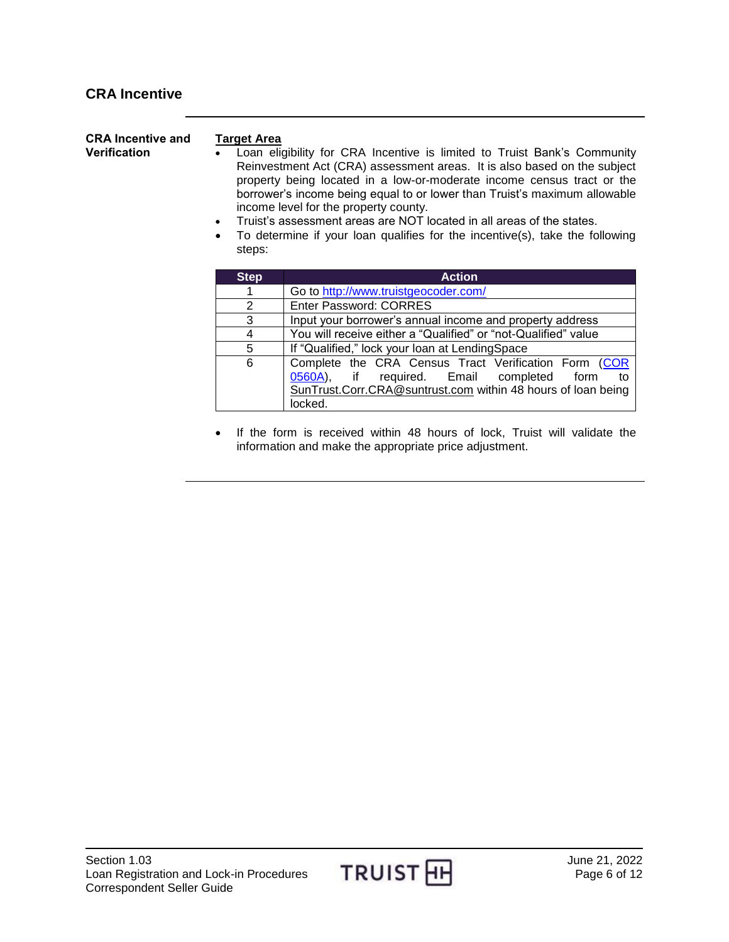<span id="page-5-1"></span><span id="page-5-0"></span>

| <b>CRA Incentive and</b><br><b>Verification</b> | <b>Target Area</b><br>$\bullet$<br>steps: | Loan eligibility for CRA Incentive is limited to Truist Bank's Community<br>Reinvestment Act (CRA) assessment areas. It is also based on the subject<br>property being located in a low-or-moderate income census tract or the<br>borrower's income being equal to or lower than Truist's maximum allowable<br>income level for the property county.<br>Truist's assessment areas are NOT located in all areas of the states.<br>To determine if your loan qualifies for the incentive(s), take the following |
|-------------------------------------------------|-------------------------------------------|---------------------------------------------------------------------------------------------------------------------------------------------------------------------------------------------------------------------------------------------------------------------------------------------------------------------------------------------------------------------------------------------------------------------------------------------------------------------------------------------------------------|
|                                                 | <b>Step</b>                               | <b>Action</b>                                                                                                                                                                                                                                                                                                                                                                                                                                                                                                 |
|                                                 | 1                                         | Go to http://www.truistgeocoder.com/                                                                                                                                                                                                                                                                                                                                                                                                                                                                          |
|                                                 | 2                                         | Enter Password: CORRES                                                                                                                                                                                                                                                                                                                                                                                                                                                                                        |
|                                                 | 3                                         | Input your borrower's annual income and property address                                                                                                                                                                                                                                                                                                                                                                                                                                                      |
|                                                 | 4                                         | You will receive either a "Qualified" or "not-Qualified" value                                                                                                                                                                                                                                                                                                                                                                                                                                                |
|                                                 | 5                                         | If "Qualified," lock your loan at LendingSpace                                                                                                                                                                                                                                                                                                                                                                                                                                                                |
|                                                 | 6                                         | Complete the CRA Census Tract Verification Form (COR<br>0560A),<br>required. Email<br>if<br>completed<br>form<br>to<br>SunTrust.Corr.CRA@suntrust.com within 48 hours of loan being                                                                                                                                                                                                                                                                                                                           |

 If the form is received within 48 hours of lock, Truist will validate the information and make the appropriate price adjustment.

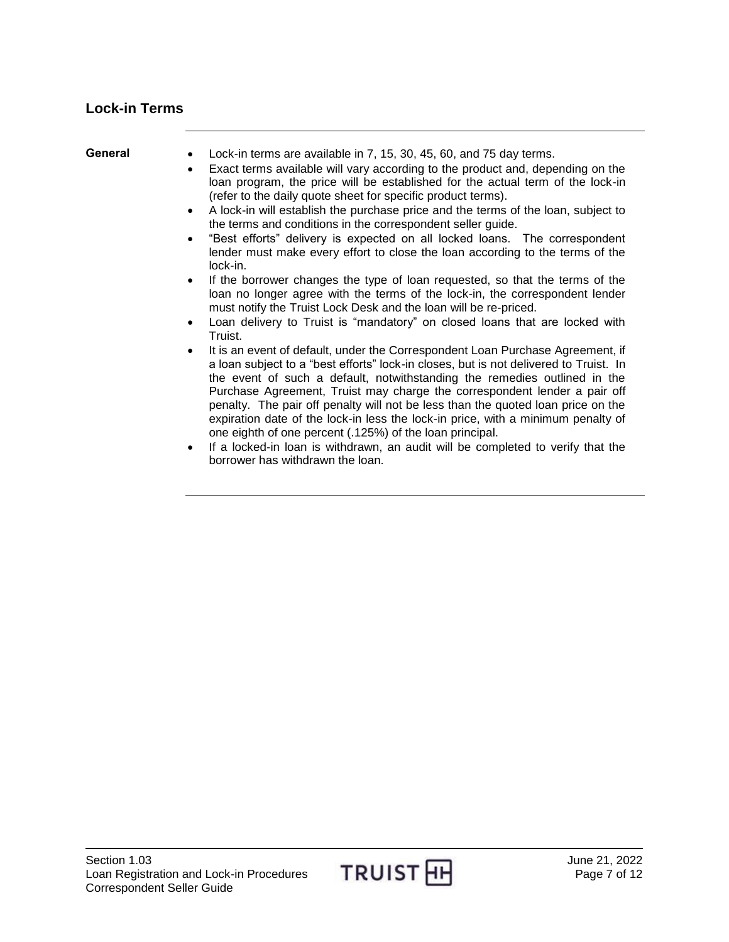## <span id="page-6-0"></span>**Lock-in Terms**

<span id="page-6-1"></span>**General** Lock-in terms are available in 7, 15, 30, 45, 60, and 75 day terms.

- Exact terms available will vary according to the product and, depending on the loan program, the price will be established for the actual term of the lock-in (refer to the daily quote sheet for specific product terms).
- A lock-in will establish the purchase price and the terms of the loan, subject to the terms and conditions in the correspondent seller guide.
- "Best efforts" delivery is expected on all locked loans. The correspondent lender must make every effort to close the loan according to the terms of the lock-in.
- If the borrower changes the type of loan requested, so that the terms of the loan no longer agree with the terms of the lock-in, the correspondent lender must notify the Truist Lock Desk and the loan will be re-priced.
- Loan delivery to Truist is "mandatory" on closed loans that are locked with Truist.
- It is an event of default, under the Correspondent Loan Purchase Agreement, if a loan subject to a "best efforts" lock-in closes, but is not delivered to Truist. In the event of such a default, notwithstanding the remedies outlined in the Purchase Agreement, Truist may charge the correspondent lender a pair off penalty. The pair off penalty will not be less than the quoted loan price on the expiration date of the lock-in less the lock-in price, with a minimum penalty of one eighth of one percent (.125%) of the loan principal.
- If a locked-in loan is withdrawn, an audit will be completed to verify that the borrower has withdrawn the loan.

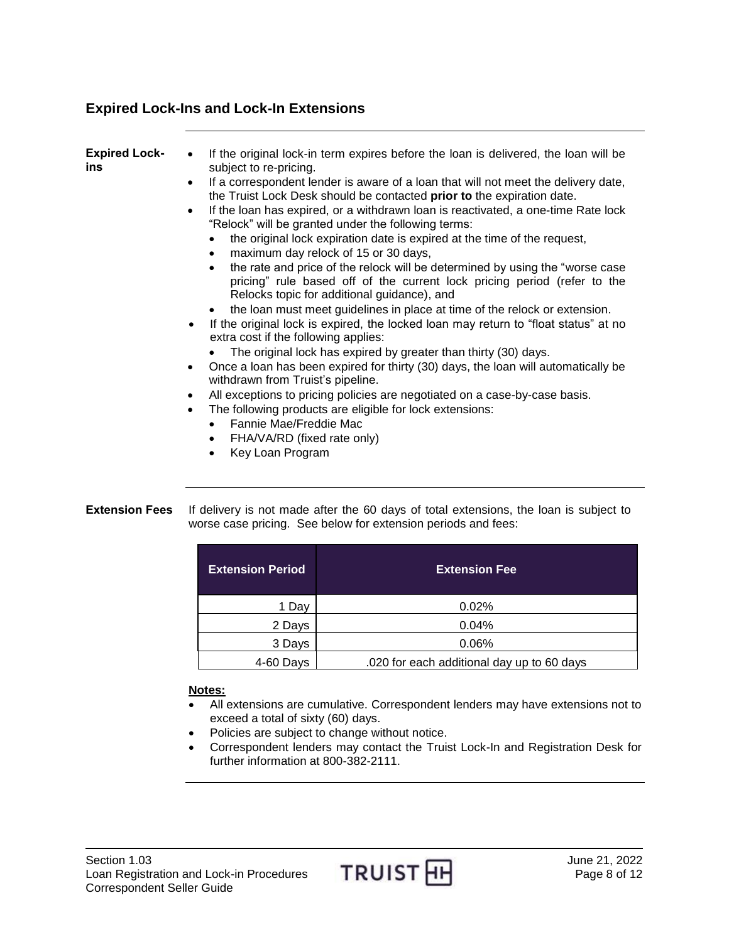## <span id="page-7-0"></span>**Expired Lock-Ins and Lock-In Extensions**

<span id="page-7-1"></span>

| <b>Expired Lock-</b><br>ins | If the original lock-in term expires before the loan is delivered, the loan will be<br>$\bullet$<br>subject to re-pricing.                                                                                             |
|-----------------------------|------------------------------------------------------------------------------------------------------------------------------------------------------------------------------------------------------------------------|
|                             | If a correspondent lender is aware of a loan that will not meet the delivery date,<br>$\bullet$<br>the Truist Lock Desk should be contacted prior to the expiration date.                                              |
|                             | If the loan has expired, or a withdrawn loan is reactivated, a one-time Rate lock<br>$\bullet$<br>"Relock" will be granted under the following terms:                                                                  |
|                             | the original lock expiration date is expired at the time of the request,<br>maximum day relock of 15 or 30 days,                                                                                                       |
|                             | the rate and price of the relock will be determined by using the "worse case"<br>pricing" rule based off of the current lock pricing period (refer to the<br>Relocks topic for additional guidance), and               |
|                             | the loan must meet guidelines in place at time of the relock or extension.<br>If the original lock is expired, the locked loan may return to "float status" at no<br>$\bullet$<br>extra cost if the following applies: |
|                             | The original lock has expired by greater than thirty (30) days.                                                                                                                                                        |
|                             | Once a loan has been expired for thirty (30) days, the loan will automatically be<br>$\bullet$<br>withdrawn from Truist's pipeline.                                                                                    |
|                             | All exceptions to pricing policies are negotiated on a case-by-case basis.<br>$\bullet$                                                                                                                                |
|                             | The following products are eligible for lock extensions:<br>$\bullet$                                                                                                                                                  |
|                             | Fannie Mae/Freddie Mac<br>$\bullet$                                                                                                                                                                                    |
|                             | FHA/VA/RD (fixed rate only)<br>$\bullet$<br>Key Loan Program                                                                                                                                                           |
|                             |                                                                                                                                                                                                                        |
|                             |                                                                                                                                                                                                                        |

#### <span id="page-7-2"></span>**Extension Fees** If delivery is not made after the 60 days of total extensions, the loan is subject to worse case pricing. See below for extension periods and fees:

| <b>Extension Period</b> | <b>Extension Fee</b>                       |
|-------------------------|--------------------------------------------|
| 1 Day                   | 0.02%                                      |
| 2 Days                  | 0.04%                                      |
| 3 Days                  | 0.06%                                      |
| 4-60 Days               | .020 for each additional day up to 60 days |

### **Notes:**

- All extensions are cumulative. Correspondent lenders may have extensions not to exceed a total of sixty (60) days.
- Policies are subject to change without notice.
- Correspondent lenders may contact the Truist Lock-In and Registration Desk for further information at 800-382-2111.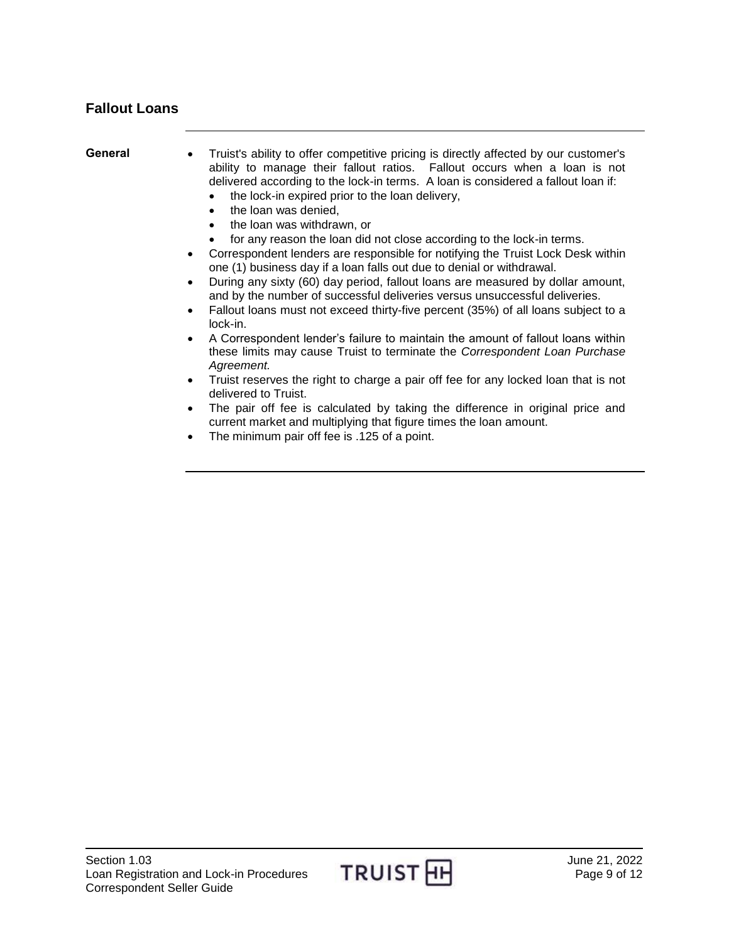# <span id="page-8-0"></span>**Fallout Loans**

<span id="page-8-1"></span>

| General | Truist's ability to offer competitive pricing is directly affected by our customer's<br>$\bullet$<br>ability to manage their fallout ratios. Fallout occurs when a loan is not<br>delivered according to the lock-in terms. A loan is considered a fallout loan if:<br>the lock-in expired prior to the loan delivery,<br>the loan was denied,<br>$\bullet$<br>the loan was withdrawn, or<br>$\bullet$                                                                                                                       |
|---------|------------------------------------------------------------------------------------------------------------------------------------------------------------------------------------------------------------------------------------------------------------------------------------------------------------------------------------------------------------------------------------------------------------------------------------------------------------------------------------------------------------------------------|
|         | for any reason the loan did not close according to the lock-in terms.<br>Correspondent lenders are responsible for notifying the Truist Lock Desk within<br>$\bullet$<br>one (1) business day if a loan falls out due to denial or withdrawal.<br>During any sixty (60) day period, fallout loans are measured by dollar amount,<br>and by the number of successful deliveries versus unsuccessful deliveries.<br>Fallout loans must not exceed thirty-five percent (35%) of all loans subject to a<br>$\bullet$<br>lock-in. |
|         | A Correspondent lender's failure to maintain the amount of fallout loans within<br>$\bullet$<br>these limits may cause Truist to terminate the Correspondent Loan Purchase<br>Agreement.                                                                                                                                                                                                                                                                                                                                     |
|         | Truist reserves the right to charge a pair off fee for any locked loan that is not<br>$\bullet$<br>delivered to Truist.                                                                                                                                                                                                                                                                                                                                                                                                      |
|         | The pair off fee is calculated by taking the difference in original price and<br>$\bullet$<br>current market and multiplying that figure times the loan amount.                                                                                                                                                                                                                                                                                                                                                              |

The minimum pair off fee is .125 of a point.

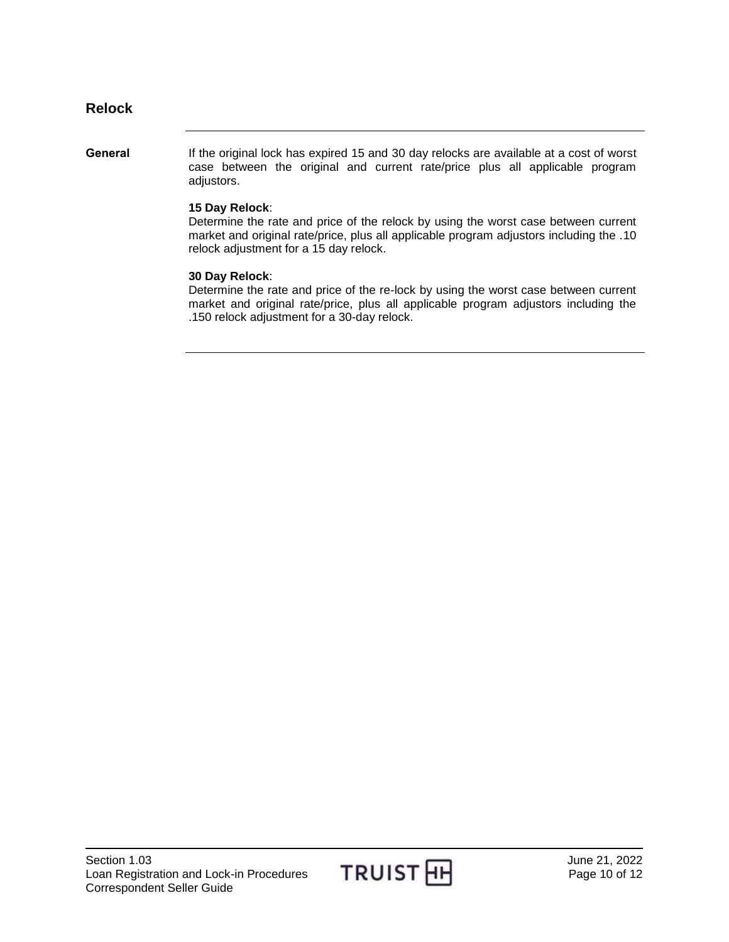### <span id="page-9-0"></span>**Relock**

<span id="page-9-1"></span>General If the original lock has expired 15 and 30 day relocks are available at a cost of worst case between the original and current rate/price plus all applicable program adjustors.

#### **15 Day Relock**:

Determine the rate and price of the relock by using the worst case between current market and original rate/price, plus all applicable program adjustors including the .10 relock adjustment for a 15 day relock.

#### **30 Day Relock**:

Determine the rate and price of the re-lock by using the worst case between current market and original rate/price, plus all applicable program adjustors including the .150 relock adjustment for a 30-day relock.

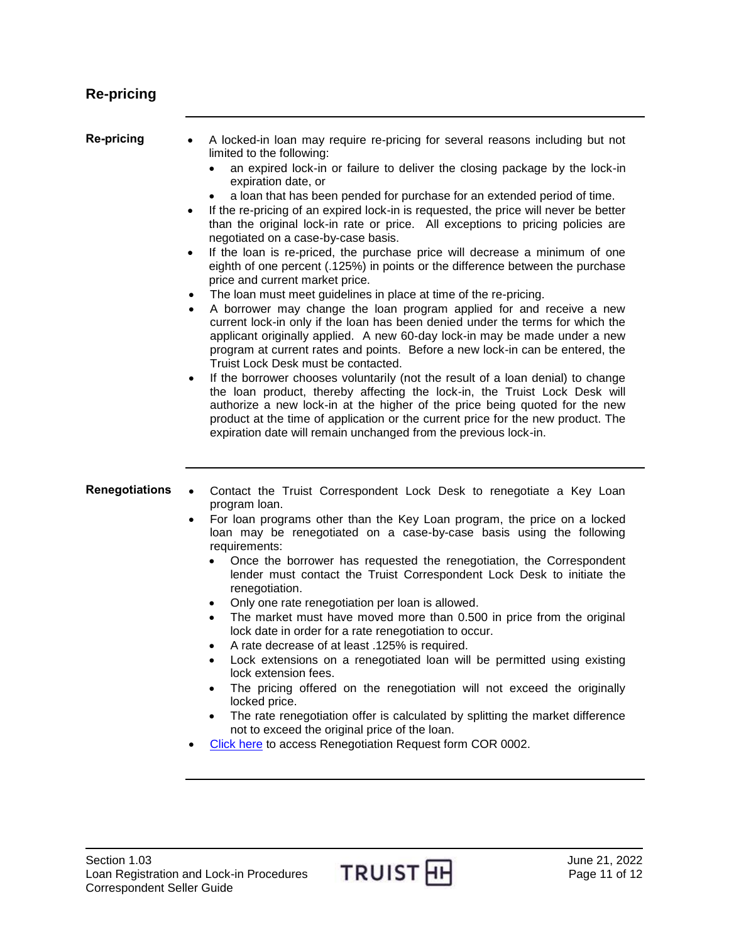# <span id="page-10-0"></span>**Re-pricing**

<span id="page-10-2"></span><span id="page-10-1"></span>

| Re-pricing            | A locked-in loan may require re-pricing for several reasons including but not<br>limited to the following:<br>an expired lock-in or failure to deliver the closing package by the lock-in<br>expiration date, or<br>a loan that has been pended for purchase for an extended period of time.<br>If the re-pricing of an expired lock-in is requested, the price will never be better<br>$\bullet$<br>than the original lock-in rate or price. All exceptions to pricing policies are<br>negotiated on a case-by-case basis.<br>If the loan is re-priced, the purchase price will decrease a minimum of one<br>eighth of one percent (.125%) in points or the difference between the purchase<br>price and current market price.<br>The loan must meet guidelines in place at time of the re-pricing.<br>$\bullet$<br>A borrower may change the loan program applied for and receive a new<br>$\bullet$<br>current lock-in only if the loan has been denied under the terms for which the<br>applicant originally applied. A new 60-day lock-in may be made under a new<br>program at current rates and points. Before a new lock-in can be entered, the<br>Truist Lock Desk must be contacted.<br>If the borrower chooses voluntarily (not the result of a loan denial) to change<br>$\bullet$<br>the loan product, thereby affecting the lock-in, the Truist Lock Desk will<br>authorize a new lock-in at the higher of the price being quoted for the new<br>product at the time of application or the current price for the new product. The<br>expiration date will remain unchanged from the previous lock-in. |
|-----------------------|---------------------------------------------------------------------------------------------------------------------------------------------------------------------------------------------------------------------------------------------------------------------------------------------------------------------------------------------------------------------------------------------------------------------------------------------------------------------------------------------------------------------------------------------------------------------------------------------------------------------------------------------------------------------------------------------------------------------------------------------------------------------------------------------------------------------------------------------------------------------------------------------------------------------------------------------------------------------------------------------------------------------------------------------------------------------------------------------------------------------------------------------------------------------------------------------------------------------------------------------------------------------------------------------------------------------------------------------------------------------------------------------------------------------------------------------------------------------------------------------------------------------------------------------------------------------------------------------------------------------|
| <b>Renegotiations</b> | Contact the Truist Correspondent Lock Desk to renegotiate a Key Loan<br>$\bullet$<br>program loan.<br>For loan programs other than the Key Loan program, the price on a locked<br>$\bullet$<br>loan may be renegotiated on a case-by-case basis using the following<br>requirements:<br>Once the borrower has requested the renegotiation, the Correspondent<br>lender must contact the Truist Correspondent Lock Desk to initiate the<br>renegotiation.<br>Only one rate renegotiation per loan is allowed.<br>The market must have moved more than 0.500 in price from the original<br>$\bullet$<br>lock date in order for a rate renegotiation to occur.<br>A rate decrease of at least .125% is required.<br>Lock extensions on a renegotiated loan will be permitted using existing<br>lock extension fees.<br>The pricing offered on the renegotiation will not exceed the originally<br>٠<br>locked price.<br>The rate renegotiation offer is calculated by splitting the market difference<br>not to exceed the original price of the loan.<br>Click here to access Renegotiation Request form COR 0002.                                                                                                                                                                                                                                                                                                                                                                                                                                                                                                    |